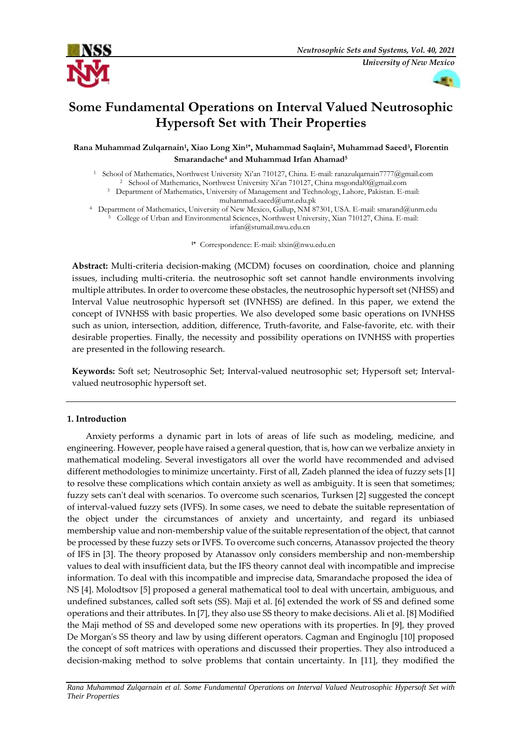



# **Some Fundamental Operations on Interval Valued Neutrosophic Hypersoft Set with Their Properties**

**Rana Muhammad Zulqarnain<sup>1</sup> , Xiao Long Xin1\* , Muhammad Saqlain<sup>2</sup> , Muhammad Saeed<sup>3</sup> , Florentin Smarandache<sup>4</sup> and Muhammad Irfan Ahamad<sup>5</sup>**

<sup>1</sup> School of Mathematics, Northwest University Xi'an 710127, China. E-mail: [ranazulqarnain7777@gmail.com](mailto:ranazulqarnain7777@gmail.com) <sup>2</sup> School of Mathematics, Northwest University Xi'an 710127, China [msgondal0@gmail.com](mailto:msgondal0@gmail.com)

<sup>3</sup> Department of Mathematics, University of Management and Technology, Lahore, Pakistan. E-mail:

[muhammad.saeed@umt.edu.pk](mailto:muhammad.saeed@umt.edu.pk)

<sup>4</sup> Department of Mathematics, University of New Mexico, Gallup, NM 87301, USA. E-mail[: smarand@unm.edu](mailto:smarand@unm.edu) <sup>5</sup> College of Urban and Environmental Sciences, Northwest University, Xian 710127, China. E-mail:

[irfan@stumail.nwu.edu.cn](mailto:irfan@stumail.nwu.edu.cn)

**1\*** Correspondence: E-mail[: xlxin@nwu.edu.cn](mailto:xlxin@nwu.edu.cn)

**Abstract:** Multi-criteria decision-making (MCDM) focuses on coordination, choice and planning issues, including multi-criteria. the neutrosophic soft set cannot handle environments involving multiple attributes. In order to overcome these obstacles, the neutrosophic hypersoft set (NHSS) and Interval Value neutrosophic hypersoft set (IVNHSS) are defined. In this paper, we extend the concept of IVNHSS with basic properties. We also developed some basic operations on IVNHSS such as union, intersection, addition, difference, Truth-favorite, and False-favorite, etc. with their desirable properties. Finally, the necessity and possibility operations on IVNHSS with properties are presented in the following research.

**Keywords:** Soft set; Neutrosophic Set; Interval-valued neutrosophic set; Hypersoft set; Intervalvalued neutrosophic hypersoft set.

# **1. Introduction**

Anxiety performs a dynamic part in lots of areas of life such as modeling, medicine, and engineering. However, people have raised a general question, that is, how can we verbalize anxiety in mathematical modeling. Several investigators all over the world have recommended and advised different methodologies to minimize uncertainty. First of all, Zadeh planned the idea of fuzzy sets [1] to resolve these complications which contain anxiety as well as ambiguity. It is seen that sometimes; fuzzy sets can't deal with scenarios. To overcome such scenarios, Turksen [2] suggested the concept of interval-valued fuzzy sets (IVFS). In some cases, we need to debate the suitable representation of the object under the circumstances of anxiety and uncertainty, and regard its unbiased membership value and non-membership value of the suitable representation of the object, that cannot be processed by these fuzzy sets or IVFS. To overcome such concerns, Atanassov projected the theory of IFS in [3]. The theory proposed by Atanassov only considers membership and non-membership values to deal with insufficient data, but the IFS theory cannot deal with incompatible and imprecise information. To deal with this incompatible and imprecise data, Smarandache proposed the idea of NS [4]. Molodtsov [5] proposed a general mathematical tool to deal with uncertain, ambiguous, and undefined substances, called soft sets (SS). Maji et al. [6] extended the work of SS and defined some operations and their attributes. In [7], they also use SS theory to make decisions. Ali et al. [8] Modified the Maji method of SS and developed some new operations with its properties. In [9], they proved De Morgan's SS theory and law by using different operators. Cagman and Enginoglu [10] proposed the concept of soft matrices with operations and discussed their properties. They also introduced a decision-making method to solve problems that contain uncertainty. In [11], they modified the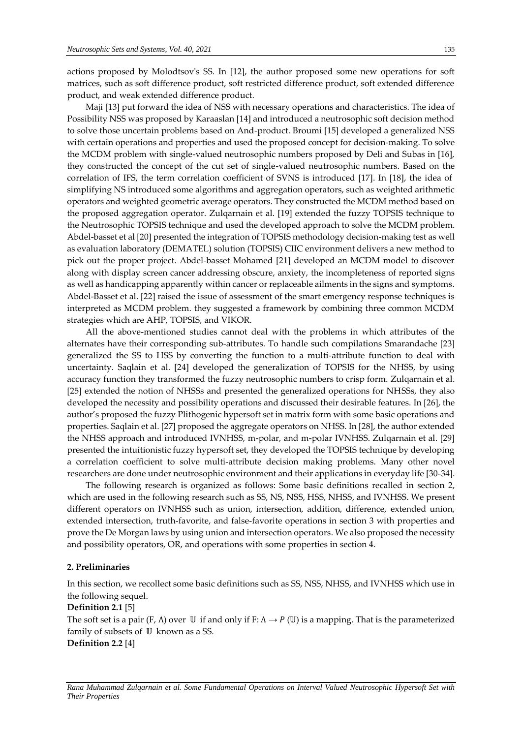actions proposed by Molodtsov's SS. In [12], the author proposed some new operations for soft matrices, such as soft difference product, soft restricted difference product, soft extended difference product, and weak extended difference product.

Maji [13] put forward the idea of NSS with necessary operations and characteristics. The idea of Possibility NSS was proposed by Karaaslan [14] and introduced a neutrosophic soft decision method to solve those uncertain problems based on And-product. Broumi [15] developed a generalized NSS with certain operations and properties and used the proposed concept for decision-making. To solve the MCDM problem with single-valued neutrosophic numbers proposed by Deli and Subas in [16], they constructed the concept of the cut set of single-valued neutrosophic numbers. Based on the correlation of IFS, the term correlation coefficient of SVNS is introduced [17]. In [18], the idea of simplifying NS introduced some algorithms and aggregation operators, such as weighted arithmetic operators and weighted geometric average operators. They constructed the MCDM method based on the proposed aggregation operator. Zulqarnain et al. [19] extended the fuzzy TOPSIS technique to the Neutrosophic TOPSIS technique and used the developed approach to solve the MCDM problem. Abdel-basset et al [20] presented the integration of TOPSIS methodology decision-making test as well as evaluation laboratory (DEMATEL) solution (TOPSIS) CIIC environment delivers a new method to pick out the proper project. Abdel-basset Mohamed [21] developed an MCDM model to discover along with display screen cancer addressing obscure, anxiety, the incompleteness of reported signs as well as handicapping apparently within cancer or replaceable ailments in the signs and symptoms. Abdel-Basset et al. [22] raised the issue of assessment of the smart emergency response techniques is interpreted as MCDM problem. they suggested a framework by combining three common MCDM strategies which are AHP, TOPSIS, and VIKOR.

All the above-mentioned studies cannot deal with the problems in which attributes of the alternates have their corresponding sub-attributes. To handle such compilations Smarandache [23] generalized the SS to HSS by converting the function to a multi-attribute function to deal with uncertainty. Saqlain et al. [24] developed the generalization of TOPSIS for the NHSS, by using accuracy function they transformed the fuzzy neutrosophic numbers to crisp form. Zulqarnain et al. [25] extended the notion of NHSSs and presented the generalized operations for NHSSs, they also developed the necessity and possibility operations and discussed their desirable features. In [26], the author's proposed the fuzzy Plithogenic hypersoft set in matrix form with some basic operations and properties. Saqlain et al. [27] proposed the aggregate operators on NHSS. In [28], the author extended the NHSS approach and introduced IVNHSS, m-polar, and m-polar IVNHSS. Zulqarnain et al. [29] presented the intuitionistic fuzzy hypersoft set, they developed the TOPSIS technique by developing a correlation coefficient to solve multi-attribute decision making problems. Many other novel researchers are done under neutrosophic environment and their applications in everyday life [30-34].

The following research is organized as follows: Some basic definitions recalled in section 2, which are used in the following research such as SS, NS, NSS, HSS, NHSS, and IVNHSS. We present different operators on IVNHSS such as union, intersection, addition, difference, extended union, extended intersection, truth-favorite, and false-favorite operations in section 3 with properties and prove the De Morgan laws by using union and intersection operators. We also proposed the necessity and possibility operators, OR, and operations with some properties in section 4.

#### **2. Preliminaries**

In this section, we recollect some basic definitions such as SS, NSS, NHSS, and IVNHSS which use in the following sequel.

#### **Definition 2.1** [5]

The soft set is a pair  $(F, \Lambda)$  over U if and only if  $F: \Lambda \to P$  (U) is a mapping. That is the parameterized family of subsets of  $U$  known as a SS. **Definition 2.2** [4]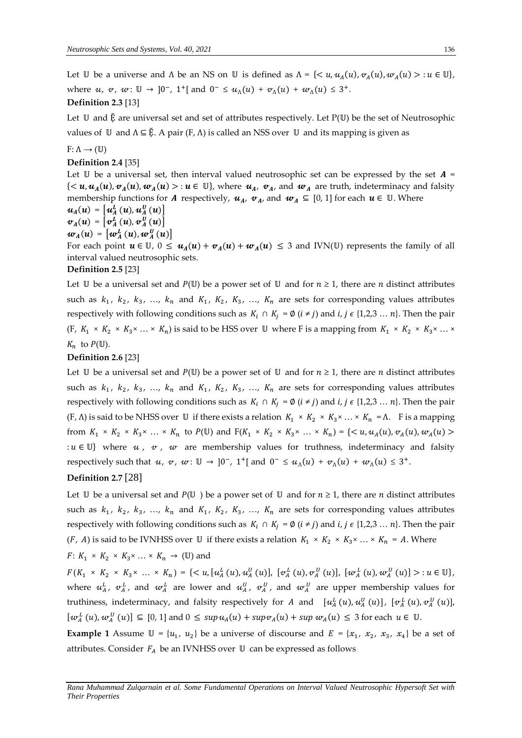Let U be a universe and  $\Lambda$  be an NS on U is defined as  $\Lambda = \{ \langle u, u_A(u), v_A(u), w_A(u) \rangle : u \in \mathbb{U} \}$ , where u, v, w:  $\mathbb{U} \to [0^-, 1^+]$  and  $0^- \leq u_\Lambda(u) + v_\Lambda(u) + w_\Lambda(u) \leq 3^+$ . **Definition 2.3** [13]

# Let  $U$  and  $\bar{E}$  are universal set and set of attributes respectively. Let  $P(U)$  be the set of Neutrosophic values of  $\mathbb U$  and  $\Lambda \subseteq \mathbb E$ . A pair (F,  $\Lambda$ ) is called an NSS over  $\mathbb U$  and its mapping is given as

 $F: \Lambda \rightarrow (\mathbb{U})$ 

# **Definition 2.4** [35]

Let  $\mathbb U$  be a universal set, then interval valued neutrosophic set can be expressed by the set  $A =$  $\{<\u,u_A(u),\v u_A(u),\omega_A(u)>u\in\mathbb{U}\}\text{, where }u_A,\;v_A\text{, and }\;w_A\text{ are truth, indeterminacy and falsity}\}$ membership functions for A respectively,  $u_A$ ,  $v_A$ , and  $w_A \subseteq [0, 1]$  for each  $u \in \mathbb{U}$ . Where  $u_{A}(u) = [u_{A}^{L}(u), u_{A}^{U}(u)]$  $\boldsymbol{v}_A(u) = \left[\boldsymbol{v}_A^L\left(u\right), \boldsymbol{v}_A^U\left(u\right)\right]$  $w_{A}(u) = \left[w_{A}^{L}\left(u\right), w_{A}^{U}\left(u\right)\right]$ For each point  $u \in \mathbb{U}$ ,  $0 \leq u_A(u) + v_A(u) + w_A(u) \leq 3$  and IVN(U) represents the family of all interval valued neutrosophic sets. **Definition 2.5** [23]

Let U be a universal set and  $P(\mathbb{U})$  be a power set of U and for  $n \geq 1$ , there are *n* distinct attributes such as  $k_1$ ,  $k_2$ ,  $k_3$ , ...,  $k_n$  and  $K_1$ ,  $K_2$ ,  $K_3$ , ...,  $K_n$  are sets for corresponding values attributes respectively with following conditions such as  $K_i \cap K_j = \emptyset$   $(i \neq j)$  and  $i, j \in \{1,2,3 \ldots n\}$ . Then the pair (F,  $K_1 \times K_2 \times K_3 \times ... \times K_n$ ) is said to be HSS over U where F is a mapping from  $K_1 \times K_2 \times K_3 \times ... \times K_n$  $K_n$  to  $P(\mathbb{U})$ .

# **Definition 2.6** [23]

Let U be a universal set and  $P(\mathbb{U})$  be a power set of U and for  $n \geq 1$ , there are *n* distinct attributes such as  $k_1$ ,  $k_2$ ,  $k_3$ , ...,  $k_n$  and  $K_1$ ,  $K_2$ ,  $K_3$ , ...,  $K_n$  are sets for corresponding values attributes respectively with following conditions such as  $K_i \cap K_j = \emptyset$   $(i \neq j)$  and  $i, j \in \{1,2,3 \dots n\}$ . Then the pair  $(F, \Lambda)$  is said to be NHSS over U if there exists a relation  $K_1 \times K_2 \times K_3 \times ... \times K_n = \Lambda$ . F is a mapping from  $K_1 \times K_2 \times K_3 \times \ldots \times K_n$  to  $P(\mathbb{U})$  and  $F(K_1 \times K_2 \times K_3 \times \ldots \times K_n) = \{ \langle u, u_A(u), v_A(u), w_A(u) \rangle \}$ :  $u \in \mathbb{U}$  where  $u$ ,  $v$ ,  $w$  are membership values for truthness, indeterminacy and falsity respectively such that  $u, v, w: \mathbb{U} \to [0^-, 1^+]$  and  $0^- \le u_\Lambda(u) + v_\Lambda(u) + w_\Lambda(u) \le 3^+$ .

# **Definition 2.7** [28]

Let  $\mathbb U$  be a universal set and  $P(\mathbb U)$  be a power set of  $\mathbb U$  and for  $n \geq 1$ , there are *n* distinct attributes such as  $k_1$ ,  $k_2$ ,  $k_3$ , ...,  $k_n$  and  $K_1$ ,  $K_2$ ,  $K_3$ , ...,  $K_n$  are sets for corresponding values attributes respectively with following conditions such as  $K_i \cap K_j = \emptyset$   $(i \neq j)$  and  $i, j \in \{1,2,3 \dots n\}$ . Then the pair (*F*, *A*) is said to be IVNHSS over U if there exists a relation  $K_1 \times K_2 \times K_3 \times ... \times K_n = A$ . Where

# $F: K_1 \times K_2 \times K_3 \times \ldots \times K_n \to (\mathbb{U})$  and

 $F(K_1 \times K_2 \times K_3 \times \dots \times K_n) = \{ \langle u, [u_A^L(u), u_A^U(u)], [v_A^L(u), v_A^U(u)], [w_A^L(u), w_A^U(u)] \rangle : u \in \mathbb{U} \},\$ where  $u^L_A$ ,  $v^L_A$ , and  $w^L_A$  are lower and  $u^U_A$ ,  $v^U_A$ , and  $w^U_A$  are upper membership values for truthiness, indeterminacy, and falsity respectively for A and  $[u^L_A(u), u^U_A(u)]$ ,  $[v^L_A(u), v^U_A(u)]$ ,  $[w_A^L(u), w_A^U(u)] \subseteq [0, 1]$  and  $0 \leq \sup u_A(u) + \sup v_A(u) + \sup w_A(u) \leq 3$  for each  $u \in \mathbb{U}$ .

**Example 1** Assume  $\mathbb{U} = \{u_1, u_2\}$  be a universe of discourse and  $E = \{x_1, x_2, x_3, x_4\}$  be a set of attributes. Consider  $F_A$  be an IVNHSS over  $\mathbb U$  can be expressed as follows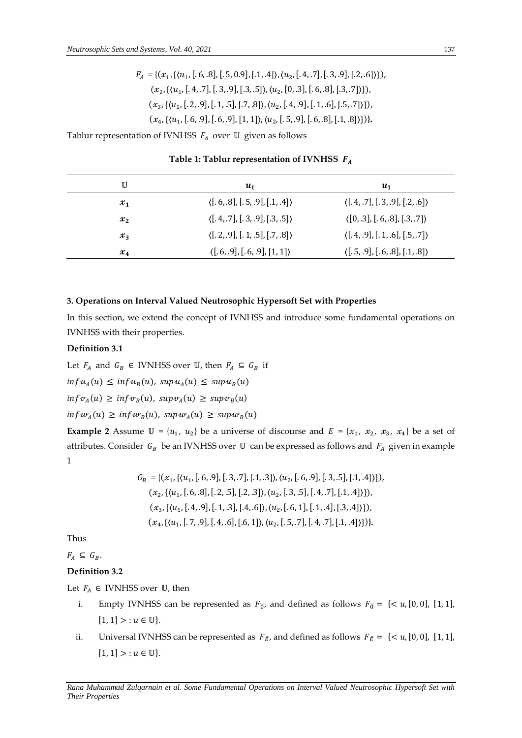$$
F_A = \{ (x_1, \{(u_1, [.6, .8], [.5, 0.9], [.1, .4] ), (u_2, [.4, .7], [.3, .9], [.2, .6]) \}),
$$
  

$$
(x_2, \{(u_1, [.4, .7], [.3, .9], [.3, .5] ), (u_2, [0, .3], [.6, .8], [.3, .7]) \}),
$$
  

$$
(x_3, \{(u_1, [.2, .9], [.1, .5], [.7, .8]) , (u_2, [.4, .9], [.1, .6], [.5, .7]) \}),
$$
  

$$
(x_4, \{(u_1, [.6, .9], [.6, .9], [1, 1]), (u_2, [.5, .9], [.6, .8], [.1, .8]) \}).
$$

Tablur representation of IVNHSS  $F_A$  over  $U$  given as follows

| U       | $\boldsymbol{u}_1$                             | $\boldsymbol{u_1}$                             |
|---------|------------------------------------------------|------------------------------------------------|
| $x_1$   | $\langle [.6, .8], [.5, .9], [.1, .4] \rangle$ | $\langle [.4, .7], [.3, .9], [.2, .6] \rangle$ |
| $x_{2}$ | $\langle [.4, .7], [.3, .9], [.3, .5] \rangle$ | $\langle [0, 3], [6, 8], [3, 7] \rangle$       |
| $x_{3}$ | $\langle [.2, .9], [.1, .5], [.7, .8] \rangle$ | $\langle [.4, .9], [.1, .6], [.5, .7] \rangle$ |
| $x_4$   | $\langle [.6, .9], [.6, .9], [1, 1] \rangle$   | $\langle [.5, .9], [.6, .8], [.1, .8] \rangle$ |

**Table 1: Tablur representation of IVNHSS** 

# **3. Operations on Interval Valued Neutrosophic Hypersoft Set with Properties**

In this section, we extend the concept of IVNHSS and introduce some fundamental operations on IVNHSS with their properties.

#### **Definition 3.1**

Let  $F_A$  and  $G_B \in$  IVNHSS over U, then  $F_A \subseteq G_B$  if

 $\inf u_A(u) \leq \inf u_B(u)$ ,  $\sup u_A(u) \leq \sup u_B(u)$ 

$$
inf v_A(u) \geq inf v_B(u), supp v_A(u) \geq sup v_B(u)
$$

$$
\inf w_A(u) \geq \inf w_B(u), \, \sup w_A(u) \geq \sup w_B(u)
$$

**Example 2** Assume  $\mathbb{U} = \{u_1, u_2\}$  be a universe of discourse and  $E = \{x_1, x_2, x_3, x_4\}$  be a set of attributes. Consider  $G_B$  be an IVNHSS over  $\mathbb U$  can be expressed as follows and  $F_A$  given in example 1

$$
G_B = \{ (x_1, \{ (u_1, [.6, .9], [.3, .7], [.1, .3] ), (u_2, [.6, .9], [.3, .5], [.1, .4] ) \}),
$$
  

$$
(x_2, \{ (u_1, [.6, .8], [.2, .5], [.2, .3] ), (u_2, [.3, .5], [.4, .7], [.1, .4] ) \}),
$$
  

$$
(x_3, \{ (u_1, [.4, .9], [.1, .3], [.4, .6] ), (u_2, [.6, 1], [.1, .4], [.3, .4] ) \}),
$$
  

$$
(x_4, \{ (u_1, [.7, .9], [.4, .6], [.6, 1] ), (u_2, [.5, .7], [.4, .7], [.1, .4] ) \})\}.
$$

Thus

 $F_A \subseteq G_B$ .

# **Definition 3.2**

Let  $F_A \in$  IVNHSS over  $\mathbb U$ , then

- i. Empty IVNHSS can be represented as  $F_{\check{0}}$ , and defined as follows  $F_{\check{0}} = \{ \langle u, [0, 0], [1, 1],$  $[1, 1] > : u \in \mathbb{U}$ .
- ii. Universal IVNHSS can be represented as  $F_{\tilde{E}}$ , and defined as follows  $F_{\tilde{E}} = \{ \langle u, [0, 0], [1, 1],$  $[1, 1] > : u \in \mathbb{U}$ .

*Rana Muhammad Zulqarnain et al. Some Fundamental Operations on Interval Valued Neutrosophic Hypersoft Set with Their Properties*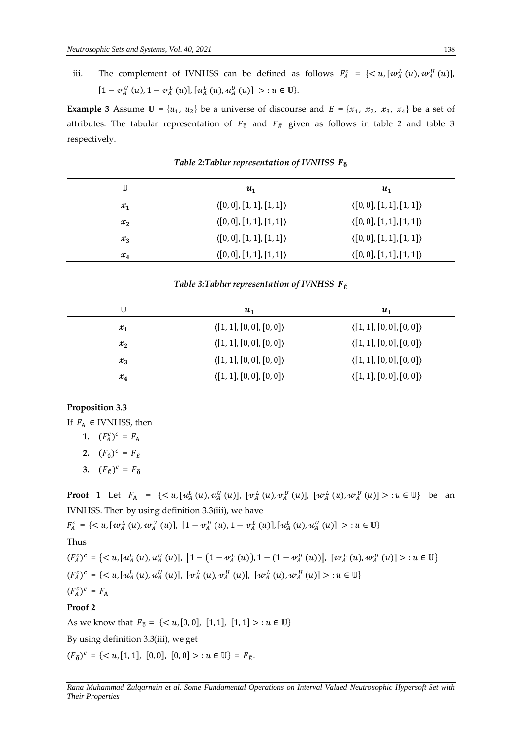iii. The complement of IVNHSS can be defined as follows  $F_A^c = \{ \langle u, [w_A^L(u), w_A^U(u)] \rangle \}$  $[1 - v_A^U(u), 1 - v_A^L(u)], [u_A^L(u), u_A^U(u)] > u \in \mathbb{U}$ .

**Example 3** Assume  $\mathbb{U} = \{u_1, u_2\}$  be a universe of discourse and  $E = \{x_1, x_2, x_3, x_4\}$  be a set of attributes. The tabular representation of  $F_{\check{0}}$  and  $F_{\check{E}}$  given as follows in table 2 and table 3 respectively.

| U     | $u_1$                                 | $\boldsymbol{u_1}$                    |
|-------|---------------------------------------|---------------------------------------|
| $x_1$ | $\langle [0,0], [1,1], [1,1] \rangle$ | $\langle [0,0], [1,1], [1,1] \rangle$ |
| $x_2$ | $\langle [0,0],[1,1],[1,1]\rangle$    | $\langle [0,0],[1,1],[1,1]\rangle$    |
| $x_3$ | $\langle [0,0],[1,1],[1,1]\rangle$    | $\langle [0,0],[1,1],[1,1]\rangle$    |
| $x_4$ | $\langle [0,0],[1,1],[1,1]\rangle$    | $\langle [0,0], [1,1], [1,1] \rangle$ |

Table 2:Tablur representation of IVNHSS  $F_{\tilde{0}}$ 

# *Table 3:Tablur representation of IVNHSS*  $\mathbf{F}_{\vec{r}}$

| U     | $u_1$                                 | $u_1$                                 |
|-------|---------------------------------------|---------------------------------------|
| $x_1$ | $\langle [1,1],[0,0],[0,0]\rangle$    | $\langle [1,1],[0,0],[0,0]\rangle$    |
| $x_2$ | $\langle [1,1], [0,0], [0,0] \rangle$ | $\langle [1,1], [0,0], [0,0] \rangle$ |
| $x_3$ | $\langle [1,1], [0,0], [0,0] \rangle$ | $\langle [1,1],[0,0],[0,0]\rangle$    |
| $x_4$ | $\langle [1,1], [0,0], [0,0] \rangle$ | $\langle [1,1],[0,0],[0,0]\rangle$    |

#### **Proposition 3.3**

If  $F_A \in$  IVNHSS, then

$$
1. \quad (F_A^c)^c = F_A
$$

**2.**  $(F_{\breve{0}})^c = F_{\breve{E}}$ 

**3.**  $(F_{\breve{E}})^c = F_{\breve{0}}$ 

**Proof 1** Let  $F_A = \{ \langle u, [u_A^L(u), u_A^U(u)], [v_A^L(u), v_A^U(u)], [w_A^L(u), w_A^U(u)] \rangle : u \in \mathbb{U} \}$  be an IVNHSS. Then by using definition 3.3(iii), we have

 $F_A^c = \{ \langle u, [w_A^L(u), w_A^U(u)], [1 - v_A^U(u), 1 - v_A^L(u)], [u_A^L(u), u_A^U(u)] \rangle : u \in \mathbb{U} \}$ Thus

 $(F_A^c)^c = \{ \langle u, [u_A^L(u), u_A^U(u)], [1 - (1 - v_A^L(u)), 1 - (1 - v_A^U(u))], [w_A^L(u), w_A^U(u)] \rangle : u \in \mathbb{U} \}$  $(F_A^c)^c = \{ \langle u, [u_A^L(u), u_A^U(u)], [v_A^L(u), v_A^U(u)], [w_A^L(u), w_A^U(u)] \rangle : u \in \mathbb{U} \}$  $(F_A^c)^c = F_A$ 

## **Proof 2**

As we know that  $F_{\delta} = \{ \langle u, [0, 0], [1, 1], [1, 1] \rangle : u \in \mathbb{U} \}$ 

By using definition 3.3(iii), we get

 $(F_{\check{0}})^c = \{ \langle u, [1, 1], [0, 0], [0, 0] \rangle : u \in \mathbb{U} \} = F_{\check{E}}.$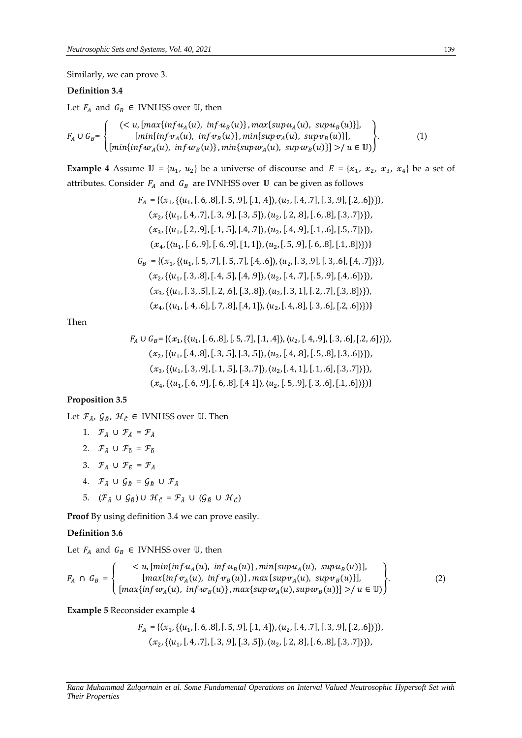Similarly, we can prove 3.

# **Definition 3.4**

Let  $F_A$  and  $G_B \in$  IVNHSS over U, then

$$
F_A \cup G_B = \begin{cases} \n(u, [max\{inf u_A(u), inf u_B(u)\}, max\{sup u_A(u), supp u_B(u)\}],\\ \n[min\{inf v_A(u), inf v_B(u)\}, min\{sup v_A(u), supp u_B(u)\}],\\ \n[min\{inf w_A(u), inf w_B(u)\}, min\{sup w_A(u), supp u_B(u)\}] > / u \in \mathbb{U}) \n\end{cases}
$$
\n(1)

**Example 4** Assume  $\mathbb{U} = \{u_1, u_2\}$  be a universe of discourse and  $E = \{x_1, x_2, x_3, x_4\}$  be a set of attributes. Consider  $F_A$  and  $G_B$  are IVNHSS over  $U$  can be given as follows

$$
F_A = \{(x_1, \{(u_1, [.6, .8], [.5, .9], [.1, .4]\}, \langle u_2, [.4, .7], [.3, .9], [.2, .6]\})\},
$$

$$
(x_2, \{(u_1, [.4, .7], [.3, .9], [.3, .5]\}, \langle u_2, [.2, .8], [.6, .8], [.3, .7]\})\},
$$

$$
(x_3, \{(u_1, [.2, .9], [.1, .5], [.4, .7]\}, \langle u_2, [.4, .9], [.1, .6], [.5, .7]\})\},
$$

$$
(x_4, \{(u_1, [.6, .9], [.6, .9], [1, 1]\}, \langle u_2, [.5, .9], [.6, .8], [.1, .8]\})\}
$$

$$
G_B = \{(x_1, \{(u_1, [.5, .7], [.5, .7], [.4, .6]\}, \langle u_2, [.3, .9], [.3, .6], [.4, .7]\})\},
$$

$$
(x_2, \{(u_1, [.3, .8], [.4, .5], [.4, .9]\}, \langle u_2, [.4, .7], [.5, .9], [.4, .6]\})\},
$$

$$
(x_3, \{(u_1, [.3, .5], [.2, .6], [.3, .8]\}, \langle u_2, [.3, 1], [.2, .7], [.3, .8]\})\}
$$

Then

$$
F_A \cup G_B = \{ (x_1, \{(u_1, [.6, .8], [.5, .7], [.1, .4] ), (u_2, [.4, .9], [.3, .6], [.2, .6] ) \}),
$$
  

$$
(x_2, \{(u_1, [.4, .8], [.3, .5], [.3, .5] ), (u_2, [.4, .8], [.5, .8], [.3, .6] ) \}),
$$
  

$$
(x_3, \{(u_1, [.3, .9], [.1, .5], [.3, .7] ), (u_2, [.4, 1], [.1, .6], [.3, .7] ) \})
$$
  

$$
(x_4, \{(u_1, [.6, .9], [.6, .8], [.4, 1]), (u_2, [.5, .9], [.3, .6], [.1, .6] ) \})
$$

# **Proposition 3.5**

Let  $\mathcal{F}_{\check{A}}$ ,  $\mathcal{G}_{\check{B}}$ ,  $\mathcal{H}_{\check{C}}$   $\in$  IVNHSS over U. Then

- 1.  $\mathcal{F}_{\breve{A}} \cup \mathcal{F}_{\breve{A}} = \mathcal{F}_{\breve{A}}$
- 2.  $\mathcal{F}_{\check{A}} \cup \mathcal{F}_{\check{0}} = \mathcal{F}_{\check{0}}$
- 3.  $\mathcal{F}_{\breve{A}} \cup \mathcal{F}_{\breve{F}} = \mathcal{F}_{\breve{A}}$
- 4.  $\mathcal{F}_{\breve{A}} \cup \mathcal{G}_{\breve{B}} = \mathcal{G}_{\breve{B}} \cup \mathcal{F}_{\breve{A}}$
- 5.  $(\mathcal{F}_{\breve{A}} \cup \mathcal{G}_{\breve{B}}) \cup \mathcal{H}_{\breve{C}} = \mathcal{F}_{\breve{A}} \cup (\mathcal{G}_{\breve{B}} \cup \mathcal{H}_{\breve{C}})$

**Proof** By using definition 3.4 we can prove easily.

# **Definition 3.6**

Let  $F_A$  and  $G_B \in$  IVNHSS over U, then

$$
F_A \cap G_B = \begin{cases} < u, \left[ \min\{ \inf u_A(u), \inf u_B(u) \}, \min\{ \sup u_A(u), \sup u_B(u) \} \right], \\ & \left[ \max\{ \inf v_A(u), \inf v_B(u) \}, \max\{ \sup v_A(u), \sup v_B(u) \} \right], \\ & \left[ \max\{ \inf w_A(u), \inf w_B(u) \}, \max\{ \sup w_A(u), \sup w_B(u) \} \right] > / u \in \mathbb{U} \end{cases} \tag{2}
$$

**Example 5** Reconsider example 4

$$
F_A = \{ (x_1, \{(u_1, [.6, .8], [.5, .9], [.1, .4] \}, (u_2, [.4, .7], [.3, .9], [.2, .6] \})
$$
\n
$$
(x_2, \{(u_1, [.4, .7], [.3, .9], [.3, .5] \}, (u_2, [.2, .8], [.6, .8], [.3, .7] \})
$$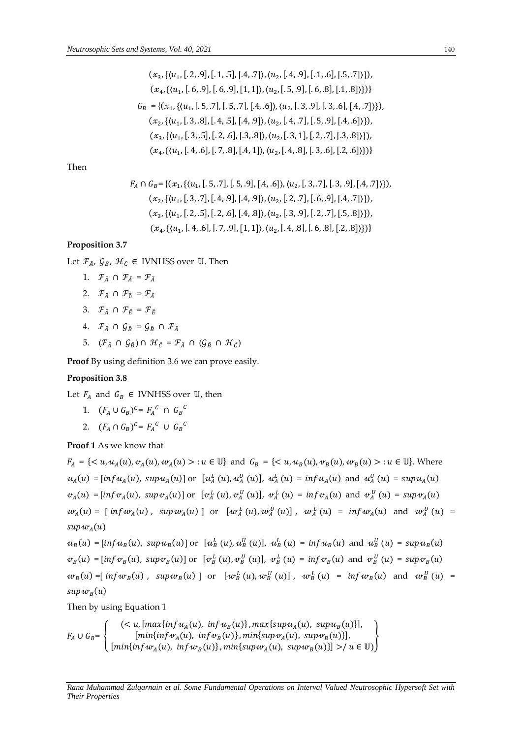$$
(x_3, \{(u_1, [.2, .9], [.1, .5], [.4, .7]\}, \{u_2, [.4, .9], [.1, .6], [.5, .7]\})\},
$$

$$
(x_4, \{(u_1, [.6, .9], [.6, .9], [1, 1]\}, \{u_2, [.5, .9], [.6, .8], [1, .8]\})\}
$$

$$
G_B = \{(x_1, \{(u_1, [.5, .7], [.5, .7], [4, .6]\}, \{u_2, [.3, .9], [3, .6], [4, .7]\})\},
$$

$$
(x_2, \{(u_1, [.3, .8], [.4, .5], [4, .9]\}, \{u_2, [.4, .7], [.5, .9], [.4, .6]\})\},
$$

$$
(x_3, \{(u_1, [.3, .5], [.2, .6], [.3, .8]\}, \{u_2, [.3, 1], [.2, .7], [.3, .8]\})\},
$$

$$
(x_4, \{(u_1, [.4, .6], [.7, .8], [.4, 1]\}, \{u_2, [.4, .8], [.3, .6], [.2, .6]\})\}
$$

Then

$$
F_A \cap G_B = \{ (x_1, \{(u_1, [.5, .7], [.5, .9], [.4, .6]\}, (u_2, [.3, .7], [.3, .9], [.4, .7]\}) \},
$$
  

$$
(x_2, \{(u_1, [.3, .7], [.4, .9], [.4, .9]), (u_2, [.2, .7], [.6, .9], [.4, .7]\}) \},
$$
  

$$
(x_3, \{(u_1, [.2, .5], [.2, .6], [.4, .8]\}, (u_2, [.3, .9], [.2, .7], [.5, .8]\}) \},
$$
  

$$
(x_4, \{(u_1, [.4, .6], [.7, .9], [1, 1]), (u_2, [.4, .8], [.6, .8], [.2, .8]\}) \}
$$

# **Proposition 3.7**

Let  $\mathcal{F}_{\check{A}}$ ,  $\mathcal{G}_{\check{B}}$ ,  $\mathcal{H}_{\check{C}}$   $\in$  IVNHSS over U. Then

- 1.  $\mathcal{F}_{\breve{A}} \cap \mathcal{F}_{\breve{A}} = \mathcal{F}_{\breve{A}}$
- 2.  $\mathcal{F}_{\check{\lambda}} \cap \mathcal{F}_{\check{\alpha}} = \mathcal{F}_{\check{\lambda}}$
- 3.  $\mathcal{F}_{\breve{A}} \cap \mathcal{F}_{\breve{F}} = \mathcal{F}_{\breve{F}}$
- 4.  $\mathcal{F}_{\breve{A}} \cap \mathcal{G}_{\breve{B}} = \mathcal{G}_{\breve{B}} \cap \mathcal{F}_{\breve{A}}$
- 5.  $(\mathcal{F}_{\breve{A}} \cap \mathcal{G}_{\breve{B}}) \cap \mathcal{H}_{\breve{C}} = \mathcal{F}_{\breve{A}} \cap (\mathcal{G}_{\breve{B}} \cap \mathcal{H}_{\breve{C}})$

**Proof** By using definition 3.6 we can prove easily.

# **Proposition 3.8**

Let  $F_A$  and  $G_B \in$  IVNHSS over U, then

- 1.  $(F_A \cup G_B)^c = F_A^c \cap G_B^c$
- 2.  $(F_A \cap G_B)^c = F_A^c \cup G_B^c$

**Proof 1** As we know that

 $F_A = \{ \langle u, u_A(u), v_A(u), w_A(u) \rangle : u \in \mathbb{U} \}$  and  $G_B = \{ \langle u, u_B(u), v_B(u), w_B(u) \rangle : u \in \mathbb{U} \}$ . Where  $u_A(u) = [inf u_A(u), supp u_A(u)]$  or  $[u_A^L(u), u_A^U(u)], u_A^L(u) = inf u_A(u)$  and  $u_A^U(u) = sup u_A(u)$  $v_A(u) = [\inf v_A(u), \sup v_A(u)]$  or  $[v_A^L(u), v_A^U(u)], v_A^L(u) = \inf v_A(u)$  and  $v_A^U(u) = \sup v_A(u)$  $w_A(u) = [\inf w_A(u) , \sup w_A(u)]$  or  $[w_A^L(u), w_A^U(u)]$ ,  $w_A^L(u) = \inf w_A(u)$  and  $w_A^U(u) =$ sup $w_A(u)$ 

 $u_B(u) = [inf u_B(u), supp u_B(u)]$  or  $[u_B^L(u), u_B^U(u)]$ ,  $u_B^L(u) = inf u_B(u)$  and  $u_B^U(u) = sup u_B(u)$  $\mathcal{W}_B(u) = [\inf \mathcal{W}_B(u), \sup \mathcal{W}_B(u)]$  or  $[\mathcal{W}_B^L(u), \mathcal{W}_B^U(u)]$ ,  $\mathcal{W}_B^L(u) = \inf \mathcal{W}_B(u)$  and  $\mathcal{W}_B^U(u) = \sup \mathcal{W}_B(u)$  $w_B(u)$  = [  $inf w_B(u)$  ,  $sup w_B(u)$  ] or  $[w_B^L(u), w_B^U(u)]$  ,  $w_B^L(u)$  =  $inf w_B(u)$  and  $w_B^U(u)$  = sup $w_{\scriptscriptstyle B}(u)$ 

Then by using Equation 1

$$
F_A \cup G_B = \left\{ \begin{array}{c} \left( < u, \left[ \max\{ \inf u_A(u), \inf u_B(u) \}, \max\{ \sup u_A(u), \sup u_B(u) \} \right], \\ \left[ \min\{ \inf v_A(u), \inf v_B(u) \}, \min\{ \sup v_A(u), \sup v_B(u) \} \right], \\ \left[ \min\{ \inf u_A(u), \inf w_B(u) \}, \min\{ \sup w_A(u), \sup w_B(u) \} \right] > / u \in \mathbb{U} \end{array} \right\}
$$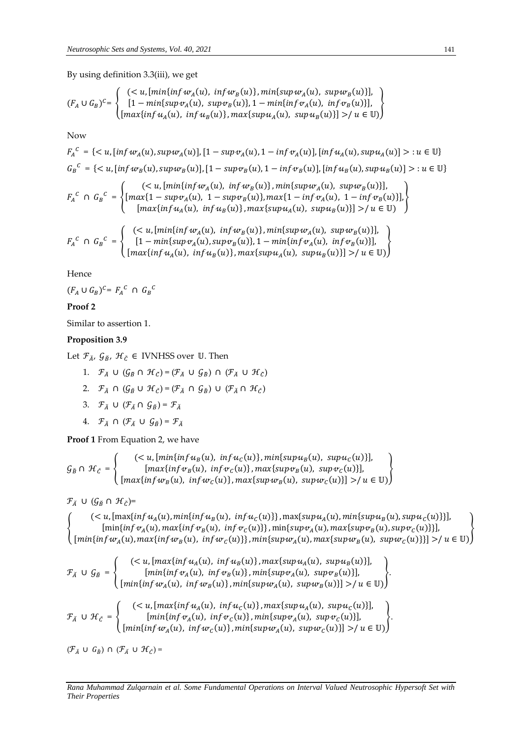By using definition 3.3(iii), we get

$$
(F_A \cup G_B)^c = \begin{cases} \n(u, [min{inf wA(u), inf wB(u)], min{sup wA(u), supp wB(u)}],\\ \n[1 - min{sup wA(u), supp wB(u)}, 1 - min{inf wA(u), inf wB(u)}],\\ \n[max{inf uA(u), inf uB(u)}, max{sup uA(u), supp uB(u)}] > / u \in \mathbb{U} \n\end{cases}
$$

Now

$$
F_A^C = \{ \langle u, [inf w_A(u), sup w_A(u)], [1 - sup v_A(u), 1 - inf v_A(u)], [inf u_A(u), sup u_A(u)] \rangle : u \in \mathbb{U} \}
$$
  
\n
$$
G_B^C = \{ \langle u, [inf w_B(u), sup w_B(u)], [1 - sup v_B(u), 1 - inf v_B(u)], [inf u_B(u), sup u_B(u)] \rangle : u \in \mathbb{U} \}
$$
  
\n
$$
F_A^C \cap G_B^C = \begin{cases} (\langle u, [min\{inf w_A(u), inf w_B(u)\}, min\{sup w_A(u), sup w_B(u)\}], \\ [max\{1 - sup v_A(u), 1 - sup v_B(u)\}, max\{1 - inf v_A(u), 1 - inf v_B(u)\}], \\ [max\{inf u_A(u), inf u_B(u)\}, max\{sup u_A(u), sup u_B(u)\}] \rangle / u \in \mathbb{U} \end{cases}
$$
  
\n
$$
F_A^C \cap G_B^C = \begin{cases} (\langle u, [min\{inf w_A(u), inf w_B(u)\}, min\{sup w_A(u), sup w_B(u)\}] \rangle / u \in \mathbb{U} ) \\ [1 - min\{sup v_A(u), sup v_B(u)\}, 1 - min\{inf v_A(u), inf v_B(u)\}], \\ [max\{inf u_A(u), inf u_B(u)\}, max\{sup u_A(u), sup u_B(u)\}] \rangle / u \in \mathbb{U} ) \end{cases}
$$

Hence

$$
(F_A \cup G_B)^{C} = F_A^C \cap G_B^C
$$

# **Proof 2**

Similar to assertion 1.

# **Proposition 3.9**

Let  $\mathcal{F}_{\check{A}}, \mathcal{G}_{\check{B}}, \mathcal{H}_{\check{C}} \in$  IVNHSS over U. Then

- 1.  $\mathcal{F}_{\breve{A}} \cup (\mathcal{G}_{\breve{B}} \cap \mathcal{H}_{\breve{C}}) = (\mathcal{F}_{\breve{A}} \cup \mathcal{G}_{\breve{B}}) \cap (\mathcal{F}_{\breve{A}} \cup \mathcal{H}_{\breve{C}})$
- 2.  $\mathcal{F}_{\breve{A}} \cap (\mathcal{G}_{\breve{B}} \cup \mathcal{H}_{\breve{C}}) = (\mathcal{F}_{\breve{A}} \cap \mathcal{G}_{\breve{B}}) \cup (\mathcal{F}_{\breve{A}} \cap \mathcal{H}_{\breve{C}})$
- 3.  $\mathcal{F}_{\breve{A}} \cup (\mathcal{F}_{\breve{A}} \cap \mathcal{G}_{\breve{B}}) = \mathcal{F}_{\breve{A}}$
- 4.  $\mathcal{F}_{\breve{A}} \cap (\mathcal{F}_{\breve{A}} \cup \mathcal{G}_{\breve{B}}) = \mathcal{F}_{\breve{A}}$

**Proof 1** From Equation 2, we have

$$
\mathcal{G}_{\check{B}} \cap \mathcal{H}_{\check{C}} = \left\{ \begin{array}{c} \left( < u, \left[ \min \{ \inf u_B(u), \inf u_C(u) \}, \min \{ \sup u_B(u), \sup u_C(u) \} \right], \\ \left[ \max \{ \inf v_B(u), \inf v_C(u) \}, \max \{ \sup v_B(u), \sup v_C(u) \} \right], \\ \left[ \max \{ \inf w_B(u), \inf w_C(u) \}, \max \{ \sup w_B(u), \sup w_C(u) \} \right] > / u \in \mathbb{U} \end{array} \right\}
$$

 $\mathcal{F}_{\check{A}} \cup (\mathcal{G}_{\check{B}} \cap \mathcal{H}_{\check{C}})$ =

{  $($  <math>u, [max{inf  $u_A(u)$ ,  $min{nu_B(u)}$ ,  $inf u_C(u)$ }}, max{sup $u_A(u)$ ,  $min{sup u_B(u)}$ , sup $u_C(u)$ }}],  $[\min\{ \inf v_A(u), \max\{ \inf v_B(u), \inf v_C(u) \}, \min\{ \sup v_A(u), \max\{ \sup v_B(u), \sup v_C(u) \} \}],$  $[\min\{ \inf w_A(u), \max\{ \inf w_B(u), \inf w_C(u) \}, \min\{ \sup w_A(u), \max\{ \sup w_B(u), \sup w_C(u) \} \}] > \mid u \in \mathbb{U}$ }

$$
\mathcal{F}_{\tilde{A}} \cup \mathcal{G}_{\tilde{B}} = \begin{cases}\n(, [\max\{inf u_A(u), inf u_B(u)\}, \max\{sup u_A(u), sup u_B(u)\}], \\
[\min\{inf v_A(u), inf v_B(u)\}, \min\{sup v_A(u), sup v_B(u)\}], \\
[\min\{inf w_A(u), inf w_B(u)\}, \min\{sup w_A(u), sup w_B(u)\}] > / u \in \mathbb{U}\n\end{cases}.
$$
\n
$$
\mathcal{F}_{\tilde{A}} \cup \mathcal{H}_{\tilde{C}} = \begin{cases}\n( / u \in \mathbb{U}\n\end{cases}.
$$

 $(\mathcal{F}_{\check{A}} \cup G_{\check{B}}) \cap (\mathcal{F}_{\check{A}} \cup \mathcal{H}_{\check{C}})$  =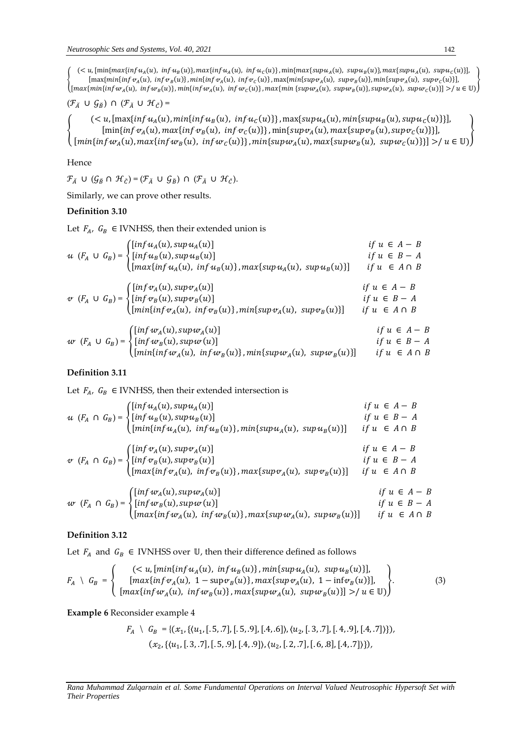{  $(u$ , [min{ $max{infu<sub>A</sub>(u)$ ,  $infu<sub>B</sub>(u)}$ ,  $max{infu<sub>A</sub>(u)$ ,  $infu<sub>C</sub>(u)}$ ,  $min{max{supu<sub>A</sub>(u)}$ ,  $supu<sub>B</sub>(u)}$ ,  $max{supu<sub>A</sub>(u)}$ ,  $supu<sub>C</sub>(u)}$ ],  $[\max\{min\{inf v_A(u), \inf v_B(u)\}, min\{inf v_A(u), \inf v_C(u)\}, \max\{min\{sup v_A(u), \sup v_B(u)\}, min\{sup v_A(u), \sup v_C(u)\}\},$  ${\max}\{\min\{\inf w_A(u),\; \inf w_B(u)\},\min\{\inf w_A(u),\; \inf w_C(u)\},\max\{\min\{\sup w_A(u),\; \sup w_B(u)\},\sup w_A(u),\; \sup w_C(u)\} \} > \mu \in \mathbb{U}$ }

$$
(\mathcal{F}_{\check A}\;\cup\; \mathcal{G}_{\check B})\;\cap\; (\mathcal{F}_{\check A}\;\cup\; \mathcal{H}_{\check C})=
$$

{  $($  <math>u, [max{inf  $u_A(u)$ ,  $min{mu_B(u)}$ ,  $inf u_C(u)$ }}, max{sup $u_A(u)$ ,  $min{sup u_B(u)}$ , sup $u_C(u)$ }}],  $[\min\{ \inf v_A(u), \max\{ \inf v_B(u), \inf v_C(u) \}, \min\{ \sup v_A(u), \max\{ \sup v_B(u), \sup v_C(u) \} \} ]$  $[\min\{ \inf w_A(u), \max\{ \inf w_B(u), \inf w_C(u) \}, \min\{ \sup w_A(u), \max\{ \sup w_B(u), \sup w_C(u) \} \}] > \mid u \in \mathbb{U}$ }

# Hence

 $\mathcal{F}_{\breve{A}} \cup (\mathcal{G}_{\breve{B}} \cap \mathcal{H}_{\breve{C}}) = (\mathcal{F}_{\breve{A}} \cup \mathcal{G}_{\breve{B}}) \cap (\mathcal{F}_{\breve{A}} \cup \mathcal{H}_{\breve{C}}).$ 

Similarly, we can prove other results.

# **Definition 3.10**

Let  $F_A$ ,  $G_B \in$  IVNHSS, then their extended union is

$$
u (F_A \cup G_B) = \begin{cases} [inf u_A(u), supp u_A(u)] & \text{if } u \in A - B \\ [inf u_B(u), supp u_B(u)] & \text{if } u \in B - A \\ [max{inf u_A(u), inf u_B(u)}], max{sup u_A(u), sup u_B(u)}] & \text{if } u \in A \cap B \end{cases}
$$
  

$$
v (F_A \cup G_B) = \begin{cases} [inf v_A(u), supp u_A(u)] & \text{if } u \in A - B \\ [inf v_B(u), supp u_B(u)] & \text{if } u \in B - A \\ [min{inf v_A(u), inf v_B(u)}], min{sup v_A(u), sup v_B(u)}] & \text{if } u \in A \cap B \end{cases}
$$
  

$$
w (F_A \cup G_B) = \begin{cases} [inf w_A(u), supp u_A(u)] & \text{if } u \in A - B \\ [inf w_B(u), supp u_A(u)] & \text{if } u \in A - B \\ [min{inf u_A(u), inf w_B(u)}], min{sup w_A(u), sup w_B(u)}] & \text{if } u \in B - A \end{cases}
$$

# **Definition 3.11**

Let  $F_{A}$ ,  $G_B \in$  IVNHSS, then their extended intersection is

$$
u (F_A \cap G_B) = \begin{cases} [inf u_A(u), supp u_A(u)] & \text{if } u \in A - B \\ [inf u_B(u), supp u_B(u)] & \text{if } u \in B - A \\ [min{inf u_A(u), inf u_B(u)}], min{sup u_A(u), supp u_B(u)} \end{cases} \quad \text{if } u \in A \cap B
$$
  

$$
v (F_A \cap G_B) = \begin{cases} [inf v_A(u), supp v_A(u)] & \text{if } u \in A - B \\ [inf v_B(u), supp u_B(u)] & \text{if } u \in B - A \\ [max{inf v_A(u), inf v_B(u)}], max{sup v_A(u), supp u_B(u)} \end{cases} \quad \text{if } u \in A \cap B
$$
  

$$
w (F_A \cap G_B) = \begin{cases} [inf w_A(u), supp w_A(u)] & \text{if } u \in A - B \\ [inf w_B(u), supp w_A(u)] & \text{if } u \in A - B \\ [max{inf w_A(u), inf w_B(u)}], max{sup w_A(u), supp w_B(u)} \end{cases} \quad \text{if } u \in B - A
$$

# **Definition 3.12**

Let  $F_A$  and  $G_B \in$  IVNHSS over U, then their difference defined as follows

$$
F_A \setminus G_B = \begin{cases} (\langle u, [min\{inf\{u_A(u), \inf\{u_B(u)\}\}, min\{sup\{u_A(u), \sup\{u_B(u)\}\}\}, \mathcal{L}\rangle \mid \mathcal{L}\rangle \\ [max\{inf\{v_A(u), 1 - \sup\{v_B(u)\}\}, max\{sup\{v_A(u), 1 - \inf\{v_B(u)\}\}, \mathcal{L}\rangle \mid \mathcal{L}\rangle \mid \mathcal{L}\rangle \end{cases} \tag{3}
$$

**Example 6** Reconsider example 4

$$
F_A \setminus G_B = \{ (x_1, \{ (u_1, [.5, .7], [.5, .9], [.4, .6] ), (u_2, [.3, .7], [.4, .9], [.4, .7] ) \}),
$$
  

$$
(x_2, \{ (u_1, [.3, .7], [.5, .9], [.4, .9] ), (u_2, [.2, .7], [.6, .8], [.4, .7] ) \}),
$$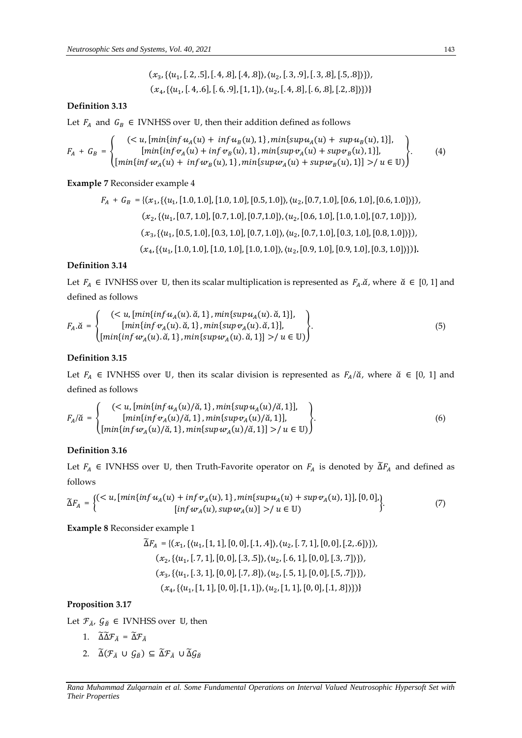$$
(x_3, \{(u_1, [.2, .5], [.4, .8], [.4, .8]), (u_2, [.3, .9], [.3, .8], [.5, .8]\})
$$
,  
 $(x_4, \{(u_1, [.4, .6], [.6, .9], [1, 1]), (u_2, [.4, .8], [.6, .8], [.2, .8]\})$ 

## **Definition 3.13**

Let  $F_A$  and  $G_B \in$  IVNHSS over U, then their addition defined as follows

$$
F_A + G_B = \begin{cases} (u, [min{inf uA(u) + inf uB(u), 1}, min{sup uA(u) + sup uB(u), 1}], \\ [min{inf vA(u) + inf vB(u), 1}, min{sup vA(u) + sup vB(u), 1}], \\ [min{inf wA(u) + inf wB(u), 1}, min{sup wA(u) + sup wB(u), 1}] > / u \in U) \end{cases}
$$
(4)

**Example 7** Reconsider example 4

$$
F_A + G_B = \{ (x_1, \{(u_1, [1.0, 1.0], [1.0, 1.0], [0.5, 1.0]), (u_2, [0.7, 1.0], [0.6, 1.0], [0.6, 1.0] \}) \},
$$

$$
(x_2, \{(u_1, [0.7, 1.0], [0.7, 1.0], [0.7, 1.0]), (u_2, [0.6, 1.0], [1.0, 1.0], [0.7, 1.0] \}) \},
$$

$$
(x_3, \{(u_1, [0.5, 1.0], [0.3, 1.0], [0.7, 1.0]), (u_2, [0.7, 1.0], [0.3, 1.0], [0.8, 1.0] \}) \},
$$

$$
(x_4, \{(u_1, [1.0, 1.0], [1.0, 1.0], [1.0, 1.0]), (u_2, [0.9, 1.0], [0.9, 1.0], [0.3, 1.0] \}) \}.
$$

# **Definition 3.14**

Let  $F_A \in$  IVNHSS over U, then its scalar multiplication is represented as  $F_A.\check{\alpha}$ , where  $\check{\alpha} \in [0, 1]$  and defined as follows

$$
F_A.\breve{a} = \begin{cases} (< u, [min\{inf u_A(u), \breve{a}, 1\}, min\{sup u_A(u), \breve{a}, 1\}], \\ [min\{inf v_A(u), \breve{a}, 1\}, min\{sup v_A(u), \breve{a}, 1\}], \\ [min\{inf w_A(u), \breve{a}, 1\}, min\{sup w_A(u), \breve{a}, 1\}] > / u \in \mathbb{U}) \end{cases} \tag{5}
$$

## **Definition 3.15**

Let  $F_A \in$  IVNHSS over U, then its scalar division is represented as  $F_A/\tilde{a}$ , where  $\tilde{a} \in [0, 1]$  and defined as follows

$$
F_A/\breve{\alpha} = \begin{cases} (< u, [min\{inf\{u_A(u)/\breve{\alpha}, 1\}, min\{supu_A(u)/\breve{\alpha}, 1\}],\\ [min\{inf\{v_A(u)/\breve{\alpha}, 1\}, min\{supv_A(u)/\breve{\alpha}, 1\}],\\ [min\{inf\{w_A(u)/\breve{\alpha}, 1\}, min\{supw_A(u)/\breve{\alpha}, 1\}] > / u \in \mathbb{U}) \end{cases} \tag{6}
$$

# **Definition 3.16**

Let  $F_A \in$  IVNHSS over U, then Truth-Favorite operator on  $F_A$  is denoted by  $\tilde{\Delta}F_A$  and defined as follows

$$
\widetilde{\Delta}F_A = \begin{cases}\n(u, [min\{infu_A(u) + inf v_A(u), 1\}, min\{supu_A(u) + sup v_A(u), 1\}], [0, 0], \\
[inf w_A(u), supp w_A(u)] > / u \in \mathbb{U}\n\end{cases}
$$
\n(7)

**Example 8** Reconsider example 1

$$
\widetilde{\Delta}F_A = \{ (x_1, \{ \langle u_1, [1, 1], [0, 0], [1, .4] \rangle, \langle u_2, [.7, 1], [0, 0], [.2, .6] \rangle \}),
$$
  

$$
(x_2, \{ \langle u_1, [.7, 1], [0, 0], [.3, .5] \rangle, \langle u_2, [.6, 1], [0, 0], [.3, .7] \rangle \}),
$$
  

$$
(x_3, \{ \langle u_1, [.3, 1], [0, 0], [.7, .8] \rangle, \langle u_2, [.5, 1], [0, 0], [.5, .7] \rangle \}),
$$
  

$$
(x_4, \{ \langle u_1, [1, 1], [0, 0], [1, 1] \rangle, \langle u_2, [1, 1], [0, 0], [1, .8] \rangle \} ) \}
$$

# **Proposition 3.17**

Let  $\mathcal{F}_{\check{A}}, \mathcal{G}_{\check{B}} \in$  IVNHSS over  $\mathbb{U}$ , then

- 1.  $\widetilde{\Delta} \widetilde{\Delta} \mathcal{F}_{\breve{A}} = \widetilde{\Delta} \mathcal{F}_{\breve{A}}$
- 2.  $\widetilde{\Delta}(\mathcal{F}_{\check{A}} \cup \mathcal{G}_{\check{B}}) \subseteq \widetilde{\Delta}\mathcal{F}_{\check{A}} \cup \widetilde{\Delta}\mathcal{G}_{\check{B}}$

*Rana Muhammad Zulqarnain et al. Some Fundamental Operations on Interval Valued Neutrosophic Hypersoft Set with Their Properties*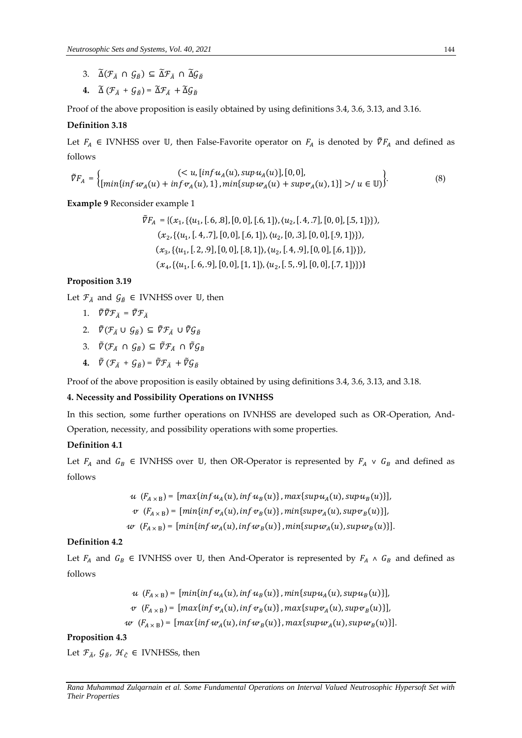- 3.  $\widetilde{\Delta}(\mathcal{F}_{\breve{A}} \cap \mathcal{G}_{\breve{B}}) \subseteq \widetilde{\Delta}\mathcal{F}_{\breve{A}} \cap \widetilde{\Delta}\mathcal{G}_{\breve{B}}$
- **4.**  $\widetilde{\Delta} (\mathcal{F}_A + \mathcal{G}_B) = \widetilde{\Delta} \mathcal{F}_A + \widetilde{\Delta} \mathcal{G}_B$

Proof of the above proposition is easily obtained by using definitions 3.4, 3.6, 3.13, and 3.16.

# **Definition 3.18**

Let  $F_A \in$  IVNHSS over U, then False-Favorite operator on  $F_A$  is denoted by  $\bar{\nabla}F_A$  and defined as follows

$$
\tilde{V}F_A = \begin{cases}\n < u, \left[ \inf u_A(u), \sup u_A(u) \right], [0,0], \\
 \left[ \min \{ \inf w_A(u) + \inf v_A(u), 1 \}, \min \{ \sup w_A(u) + \sup v_A(u), 1 \} \right] > / u \in \mathbb{U} \end{cases}\n \tag{8}
$$

**Example 9** Reconsider example 1

$$
\tilde{V}F_A = \{ (x_1, \{(u_1, [.6, .8], [0, 0], [.6, 1]\}, \langle u_2, [.4, .7], [0, 0], [.5, 1]\rangle \}),
$$

$$
(x_2, \{(u_1, [.4, .7], [0, 0], [.6, 1]\}, \langle u_2, [0, .3], [0, 0], [.9, 1]\rangle \}),
$$

$$
(x_3, \{(u_1, [.2, .9], [0, 0], [.8, 1]\}, \langle u_2, [.4, .9], [0, 0], [.6, 1]\rangle \}),
$$

$$
(x_4, \{(u_1, [.6, .9], [0, 0], [1, 1]\}, \langle u_2, [.5, .9], [0, 0], [7, 1]\rangle \}) \}
$$

# **Proposition 3.19**

Let  $\mathcal{F}_A$  and  $\mathcal{G}_B$   $\in$  IVNHSS over U, then

- 1.  $\tilde{\nabla} \tilde{\nabla} \mathcal{F}_{\check{\lambda}} = \tilde{\nabla} \mathcal{F}_{\check{\lambda}}$
- 2.  $\tilde{\nabla}(\mathcal{F}_{\check{A}} \cup \mathcal{G}_{\check{B}}) \subseteq \tilde{\nabla}\mathcal{F}_{\check{A}} \cup \tilde{\nabla}\mathcal{G}_{\check{B}}$
- 3.  $\tilde{V}(\mathcal{F}_{\check{A}} \cap \mathcal{G}_{\check{B}}) \subseteq \tilde{V}\mathcal{F}_{\check{A}} \cap \tilde{V}\mathcal{G}_{\check{B}}$
- **4.**  $\tilde{V}$  ( $\mathcal{F}_{\check{A}}$  +  $\mathcal{G}_{\check{B}}$ ) =  $\tilde{V}\mathcal{F}_{\check{A}}$  +  $\tilde{V}\mathcal{G}_{\check{B}}$

Proof of the above proposition is easily obtained by using definitions 3.4, 3.6, 3.13, and 3.18.

# **4. Necessity and Possibility Operations on IVNHSS**

In this section, some further operations on IVNHSS are developed such as OR-Operation, And-Operation, necessity, and possibility operations with some properties.

# **Definition 4.1**

Let  $F_A$  and  $G_B \in$  IVNHSS over U, then OR-Operator is represented by  $F_A \vee G_B$  and defined as follows

$$
u (F_{A \times B}) = [max\{inf u_A(u), inf u_B(u)\}, max\{sup u_A(u), supp u_B(u)\}],
$$
  

$$
v (F_{A \times B}) = [min\{inf v_A(u), inf v_B(u)\}, min\{sup v_A(u), supp v_B(u)\}],
$$
  

$$
uv (F_{A \times B}) = [min\{inf w_A(u), inf w_B(u)\}, min\{sup w_A(u), supp w_B(u)\}].
$$

# **Definition 4.2**

Let  $F_A$  and  $G_B \in IVMHSS$  over U, then And-Operator is represented by  $F_A \wedge G_B$  and defined as follows

$$
u (F_{A \times B}) = [min\{inf u_A(u), inf u_B(u)\}, min\{sup u_A(u), supp u_B(u)\}],
$$
  

$$
v (F_{A \times B}) = [max\{inf v_A(u), inf v_B(u)\}, max\{sup v_A(u), supp v_B(u)\}],
$$
  

$$
uv (F_{A \times B}) = [max\{inf w_A(u), inf w_B(u)\}, max\{sup w_A(u), supp w_B(u)\}].
$$

#### **Proposition 4.3**

Let  $\mathcal{F}_{\check{A}}, \mathcal{G}_{\check{B}}, \mathcal{H}_{\check{C}} \in$  IVNHSSs, then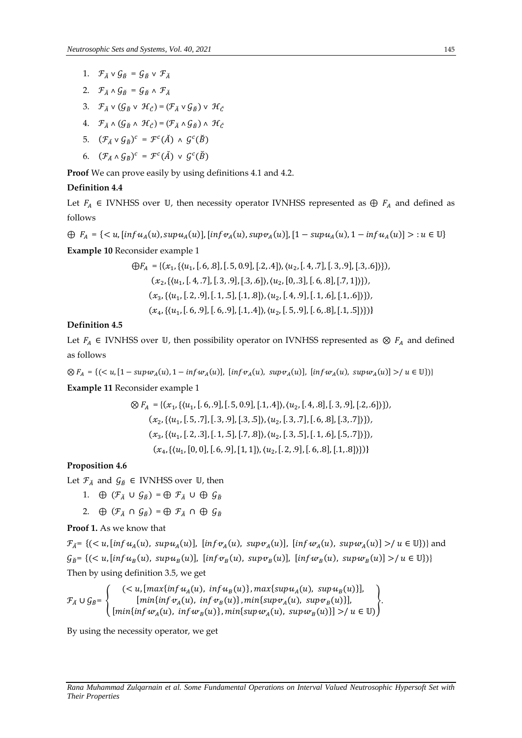- 1.  $\mathcal{F}_{\breve{A}} \vee \mathcal{G}_{\breve{B}} = \mathcal{G}_{\breve{B}} \vee \mathcal{F}_{\breve{A}}$
- 2.  $\mathcal{F}_{\breve{A}} \wedge \mathcal{G}_{\breve{B}} = \mathcal{G}_{\breve{B}} \wedge \mathcal{F}_{\breve{A}}$
- 3.  $\mathcal{F}_{\check{A}} \vee (\mathcal{G}_{\check{B}} \vee \mathcal{H}_{\check{C}}) = (\mathcal{F}_{\check{A}} \vee \mathcal{G}_{\check{B}}) \vee \mathcal{H}_{\check{C}}$
- 4.  $\mathcal{F}_{\breve{A}} \wedge (\mathcal{G}_{\breve{B}} \wedge \mathcal{H}_{\breve{C}}) = (\mathcal{F}_{\breve{A}} \wedge \mathcal{G}_{\breve{B}}) \wedge \mathcal{H}_{\breve{C}}$
- 5.  $(\mathcal{F}_{\check{A}} \vee \mathcal{G}_{\check{B}})^c = \mathcal{F}^c(\check{A}) \wedge \mathcal{G}^c(\check{B})$
- 6.  $(\mathcal{F}_{\check{A}} \wedge \mathcal{G}_{\check{B}})^c = \mathcal{F}^c(\check{A}) \vee \mathcal{G}^c(\check{B})$

**Proof** We can prove easily by using definitions 4.1 and 4.2.

### **Definition 4.4**

Let  $F_A \in$  IVNHSS over U, then necessity operator IVNHSS represented as  $\bigoplus F_A$  and defined as follows

$$
\bigoplus F_A = \{ \langle u, [inf u_A(u), sup u_A(u)], [inf v_A(u), sup v_A(u)], [1 - sup u_A(u), 1 - inf u_A(u)] \rangle : u \in \mathbb{U} \}
$$

**Example 10** Reconsider example 1

$$
\bigoplus F_A = \{ (x_1, \{(u_1, [.6, .8], [.5, 0.9], [.2, .4] ), (u_2, [.4, .7], [.3, .9], [.3, .6] ) \}),
$$
  

$$
(x_2, \{(u_1, [.4, .7], [.3, .9], [.3, .6] ), (u_2, [0, .3], [.6, .8], [.7, 1]) \}),
$$
  

$$
(x_3, \{(u_1, [.2, .9], [.1, .5], [.1, .8]) ), (u_2, [.4, .9], [.1, .6], [.1, .6]) \}),
$$
  

$$
(x_4, \{(u_1, [.6, .9], [.6, .9], [.1, .4]) ), (u_2, [.5, .9], [.6, .8], [.1, .5]) \})
$$

# **Definition 4.5**

Let  $F_A$  ∈ IVNHSS over  $\mathbb U$ , then possibility operator on IVNHSS represented as  $\otimes$   $F_A$  and defined as follows

 $\otimes F_A = \{ (\langle u, [1 - \text{supw}_A(u), 1 - \text{inf} w_A(u)], [\text{inf} v_A(u), \text{sup} w_A(u)], [\text{inf} w_A(u), \text{sup} w_A(u)] \rangle / u \in \mathbb{U} \} )$ 

**Example 11** Reconsider example 1

$$
\bigotimes F_A = \{ (x_1, \{(u_1, [.6, .9], [.5, 0.9], [.1, .4] ), (u_2, [.4, .8], [.3, .9], [.2, .6]) \}),
$$
  

$$
(x_2, \{(u_1, [.5, .7], [.3, .9], [.3, .5] ), (u_2, [.3, .7], [.6, .8], [.3, .7]) \}),
$$
  

$$
(x_3, \{(u_1, [.2, .3], [.1, .5], [.7, .8]) , (u_2, [.3, .5], [.1, .6], [.5, .7]) \})
$$
  

$$
(x_4, \{(u_1, [0, 0], [.6, .9], [1, 1]) , (u_2, [.2, .9], [.6, .8], [1, .8]) \})
$$

# **Proposition 4.6**

Let  $\mathcal{F}_{\breve{A}}$  and  $\mathcal{G}_{\breve{B}} \in$  IVNHSS over U, then

- 1.  $\oplus$   $(\mathcal{F}_{\check{A}} \cup \mathcal{G}_{\check{B}}) = \oplus \mathcal{F}_{\check{A}} \cup \oplus \mathcal{G}_{\check{B}}$
- 2.  $\oplus$   $(\mathcal{F}_{\check{A}} \cap \mathcal{G}_{\check{B}}) = \oplus \mathcal{F}_{\check{A}} \cap \oplus \mathcal{G}_{\check{B}}$

**Proof 1.** As we know that

 $\mathcal{F}_{A} = \{ (\langle u, [\inf u_A(u), \sup u_A(u)], [\inf v_A(u), \sup v_A(u)], [\inf w_A(u), \sup w_A(u)] \rangle / u \in \mathbb{U} \} \}$  and  $\mathcal{G}_{\breve{B}} = \{ (\langle u, [\inf u_B(u), \sup u_B(u)], [\inf v_B(u), \sup v_B(u)], [\inf w_B(u), \sup w_B(u)] \rangle / u \in \mathbb{U} \} ) \}$ Then by using definition 3.5, we get

$$
\mathcal{F}_{\tilde{A}} \cup \mathcal{G}_{\tilde{B}} = \left\{ \begin{array}{c} \left( < u, \left[ \max\{ \inf u_A(u), \inf u_B(u) \}, \max\{ \sup u_A(u), \sup u_B(u) \} \right], \\ \left[ \min\{ \inf v_A(u), \inf v_B(u) \}, \min\{ \sup v_A(u), \sup v_B(u) \} \right], \\ \left[ \min\{ \inf u_A(u), \inf w_B(u) \}, \min\{ \sup w_A(u), \sup w_B(u) \} \right] > \mu \in \mathbb{U} \end{array} \right\}.
$$

By using the necessity operator, we get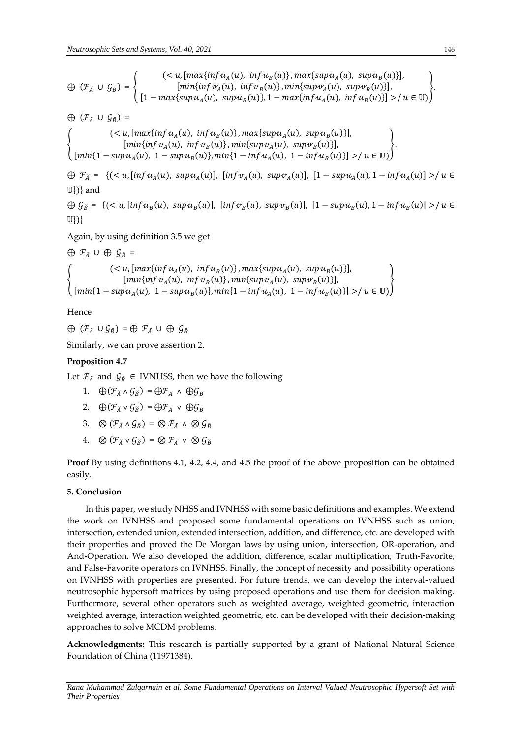$\bigoplus$   $(\mathcal{F}_{\breve{A}} \cup \mathcal{G}_{\breve{B}}) = \{$  $(< u, [max{inf u<sub>A</sub>(u), inf u<sub>B</sub>(u)}, max{sup u<sub>A</sub>(u), sup u<sub>B</sub>(u)}],$  $[\min\{ \inf v_A(u), \inf v_B(u) \}, \min\{ \sup v_A(u), \sup v_B(u) \}],$ [1 −  $max\{ supu_A(u), suppu_B(u) \}$ , 1 −  $max\{ infu_A(u), infu_B(u) \}$ ] >/  $u \in \mathbb{U}$ ) }.

 $\bigoplus$   $(\mathcal{F}_{\check{A}} \cup \mathcal{G}_{\check{B}})$  =

{  $(< u, [max{inf u<sub>A</sub>(u), inf u<sub>B</sub>(u)}, max{sup u<sub>A</sub>(u), sup u<sub>B</sub>(u)}],$  $[\min\{ \inf v_A(u), \; \inf v_B(u) \}, \min\{ \sup v_A(u), \; \sup v_B(u) \}],$  $[ min{1 - supp_{u_A}(u), 1 - supp_{u_B}(u)}, min{1 - inf_{u_A}(u), 1 - inf_{u_B}(u)} ] >/u \in \mathbb{U}$ }.

 $\bigoplus \mathcal{F}_{\check{A}} = \{ (\langle u, [inf u_A(u), \, sup u_A(u)], \, [inf v_A(u), \, sup v_A(u)], \, [1 - sup u_A(u), 1 - inf u_A(u)] \rangle / u \in$  $\mathbb{U}\})$  and

 $\bigoplus \mathcal{G}_{\check{B}} = \{ (\langle u, [\inf u_B(u), \sup u_B(u)], [\inf v_B(u), \sup v_B(u)], [1 - \sup u_B(u), 1 - \inf u_B(u)] \rangle / u \in$  $\mathbb{U}\{\}$ }}

Again, by using definition 3.5 we get

 $\oplus$   $\mathcal{F}_{\check{A}}$   $\cup$   $\oplus$   $\mathcal{G}_{\check{B}}$  =  $\{min\{inf \nu_A(u), inf \nu_B(u)\}, min\{sup \nu_A(u), supp \nu_B(u)\}\},$  $(< u, [max{inf u<sub>A</sub>(u), inf u<sub>B</sub>(u)}, max{sup u<sub>A</sub>(u), sup u<sub>B</sub>(u)}],$  $[ min{1 - supp_{u_A}(u), 1 - supp_{u_B}(u)}, min{1 - inf_{u_A}(u), 1 - inf_{u_B}(u)} ] >/u \in \mathbb{U}$ 

Hence

 $\oplus$   $(\mathcal{F}_{\breve{A}} \cup \mathcal{G}_{\breve{B}}) = \oplus \mathcal{F}_{\breve{A}} \cup \oplus \mathcal{G}_{\breve{B}}$ 

Similarly, we can prove assertion 2.

# **Proposition 4.7**

Let  $\mathcal{F}_{\check{A}}$  and  $\mathcal{G}_{\check{B}} \in$  IVNHSS, then we have the following

- 1.  $\bigoplus (\mathcal{F}_{\check{A}} \wedge \mathcal{G}_{\check{B}}) = \bigoplus \mathcal{F}_{\check{A}} \wedge \bigoplus \mathcal{G}_{\check{B}}$
- 2.  $\bigoplus (\mathcal{F}_{\check{A}} \vee \mathcal{G}_{\check{B}}) = \bigoplus \mathcal{F}_{\check{A}} \vee \bigoplus \mathcal{G}_{\check{B}}$
- 3.  $\otimes$   $(\mathcal{F}_{\check{A}} \wedge \mathcal{G}_{\check{B}}) = \otimes \mathcal{F}_{\check{A}} \wedge \otimes \mathcal{G}_{\check{B}}$
- 4.  $\otimes$   $(\mathcal{F}_{\check{\lambda}} \vee \mathcal{G}_{\check{\beta}}) = \otimes \mathcal{F}_{\check{\lambda}} \vee \otimes \mathcal{G}_{\check{\beta}}$

**Proof** By using definitions 4.1, 4.2, 4.4, and 4.5 the proof of the above proposition can be obtained easily.

# **5. Conclusion**

In this paper, we study NHSS and IVNHSS with some basic definitions and examples. We extend the work on IVNHSS and proposed some fundamental operations on IVNHSS such as union, intersection, extended union, extended intersection, addition, and difference, etc. are developed with their properties and proved the De Morgan laws by using union, intersection, OR-operation, and And-Operation. We also developed the addition, difference, scalar multiplication, Truth-Favorite, and False-Favorite operators on IVNHSS. Finally, the concept of necessity and possibility operations on IVNHSS with properties are presented. For future trends, we can develop the interval-valued neutrosophic hypersoft matrices by using proposed operations and use them for decision making. Furthermore, several other operators such as weighted average, weighted geometric, interaction weighted average, interaction weighted geometric, etc. can be developed with their decision-making approaches to solve MCDM problems.

**Acknowledgments:** This research is partially supported by a grant of National Natural Science Foundation of China (11971384).

*Rana Muhammad Zulqarnain et al. Some Fundamental Operations on Interval Valued Neutrosophic Hypersoft Set with Their Properties*

}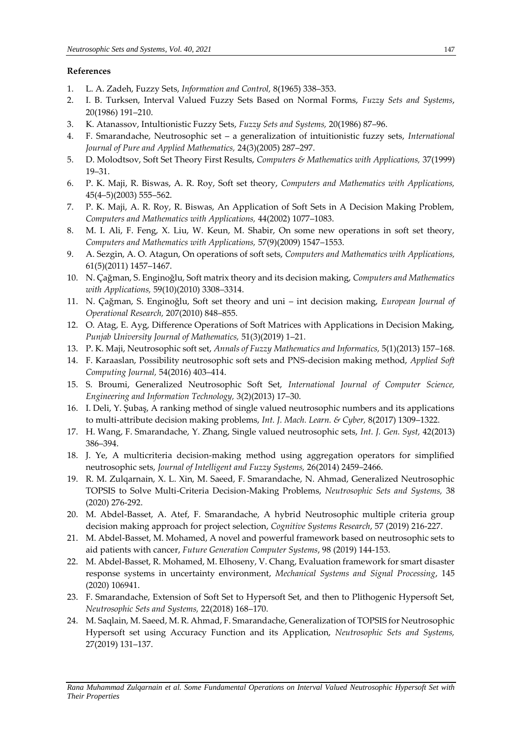# **References**

- 1. L. A. Zadeh, Fuzzy Sets, *Information and Control,* 8(1965) 338–353.
- 2. I. B. Turksen, Interval Valued Fuzzy Sets Based on Normal Forms, *Fuzzy Sets and Systems*, 20(1986) 191–210.
- 3. K. Atanassov, Intultionistic Fuzzy Sets, *Fuzzy Sets and Systems,* 20(1986) 87–96.
- 4. F. Smarandache, Neutrosophic set a generalization of intuitionistic fuzzy sets, *International Journal of Pure and Applied Mathematics,* 24(3)(2005) 287–297.
- 5. D. Molodtsov, Soft Set Theory First Results, *Computers & Mathematics with Applications,* 37(1999) 19–31.
- 6. P. K. Maji, R. Biswas, A. R. Roy, Soft set theory, *Computers and Mathematics with Applications,* 45(4–5)(2003) 555–562.
- 7. P. K. Maji, A. R. Roy, R. Biswas, An Application of Soft Sets in A Decision Making Problem, *Computers and Mathematics with Applications,* 44(2002) 1077–1083.
- 8. M. I. Ali, F. Feng, X. Liu, W. Keun, M. Shabir, On some new operations in soft set theory, *Computers and Mathematics with Applications,* 57(9)(2009) 1547–1553.
- 9. A. Sezgin, A. O. Atagun, On operations of soft sets, *Computers and Mathematics with Applications,* 61(5)(2011) 1457–1467.
- 10. N. Çağman, S. Enginoğlu, Soft matrix theory and its decision making, *Computers and Mathematics with Applications,* 59(10)(2010) 3308–3314.
- 11. N. Çağman, S. Enginoğlu, Soft set theory and uni int decision making, *European Journal of Operational Research,* 207(2010) 848–855.
- 12. O. Atag, E. Ayg, Difference Operations of Soft Matrices with Applications in Decision Making, *Punjab University Journal of Mathematics,* 51(3)(2019) 1–21.
- 13. P. K. Maji, Neutrosophic soft set, *Annals of Fuzzy Mathematics and Informatics,* 5(1)(2013) 157–168.
- 14. F. Karaaslan, Possibility neutrosophic soft sets and PNS-decision making method, *Applied Soft Computing Journal,* 54(2016) 403–414.
- 15. S. Broumi, Generalized Neutrosophic Soft Set, *International Journal of Computer Science, Engineering and Information Technology,* 3(2)(2013) 17–30.
- 16. I. Deli, Y. Şubaş, A ranking method of single valued neutrosophic numbers and its applications to multi-attribute decision making problems, *Int. J. Mach. Learn. & Cyber,* 8(2017) 1309–1322.
- 17. H. Wang, F. Smarandache, Y. Zhang, Single valued neutrosophic sets, *Int. J. Gen. Syst,* 42(2013) 386–394.
- 18. J. Ye, A multicriteria decision-making method using aggregation operators for simplified neutrosophic sets, *Journal of Intelligent and Fuzzy Systems,* 26(2014) 2459–2466.
- 19. R. M. Zulqarnain, X. L. Xin, M. Saeed, F. Smarandache, N. Ahmad, Generalized Neutrosophic TOPSIS to Solve Multi-Criteria Decision-Making Problems, *Neutrosophic Sets and Systems,* 38 (2020) 276-292.
- 20. M. Abdel-Basset, A. Atef, F. Smarandache, A hybrid Neutrosophic multiple criteria group decision making approach for project selection, *Cognitive Systems Research*, 57 (2019) 216-227.
- 21. M. Abdel-Basset, M. Mohamed, A novel and powerful framework based on neutrosophic sets to aid patients with cancer, *Future Generation Computer Systems*, 98 (2019) 144-153.
- 22. M. Abdel-Basset, R. Mohamed, M. Elhoseny, V. Chang, Evaluation framework for smart disaster response systems in uncertainty environment, *Mechanical Systems and Signal Processing*, 145 (2020) 106941.
- 23. F. Smarandache, Extension of Soft Set to Hypersoft Set, and then to Plithogenic Hypersoft Set, *Neutrosophic Sets and Systems,* 22(2018) 168–170.
- 24. M. Saqlain, M. Saeed, M. R. Ahmad, F. Smarandache, Generalization of TOPSIS for Neutrosophic Hypersoft set using Accuracy Function and its Application, *Neutrosophic Sets and Systems,* 27(2019) 131–137.